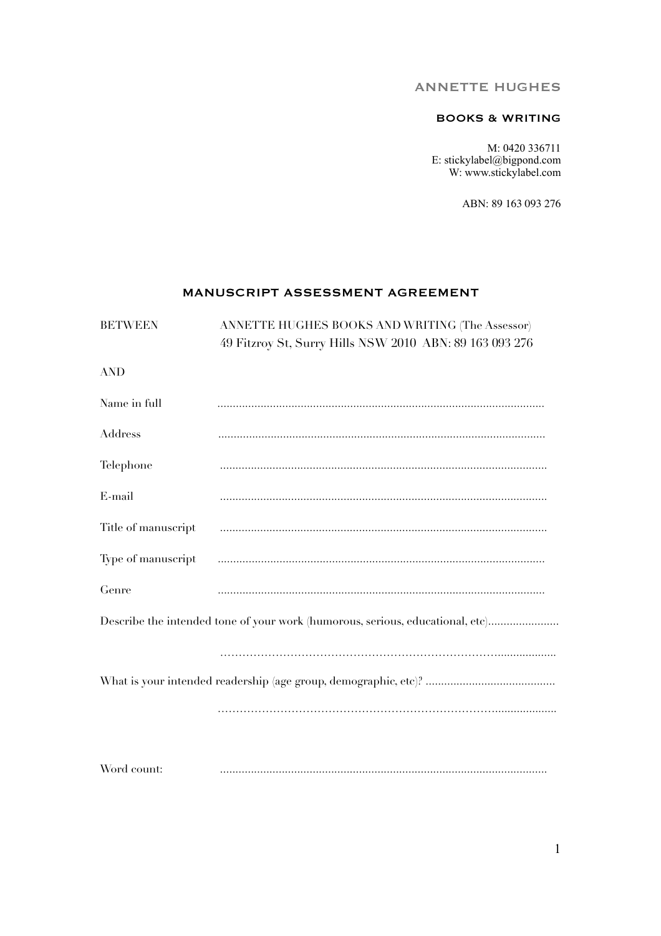# ANNETTE HUGHES

# BOOKS & WRITING

M: 0420 336711 E: stickylabel@bigpond.com W: www.stickylabel.com

ABN: 89 163 093 276

# MANUSCRIPT ASSESSMENT AGREEMENT

| <b>BETWEEN</b>      | ANNETTE HUGHES BOOKS AND WRITING (The Assessor)<br>49 Fitzroy St, Surry Hills NSW 2010 ABN: 89 163 093 276 |
|---------------------|------------------------------------------------------------------------------------------------------------|
| <b>AND</b>          |                                                                                                            |
|                     |                                                                                                            |
| Name in full        |                                                                                                            |
| Address             |                                                                                                            |
| Telephone           |                                                                                                            |
| E-mail              |                                                                                                            |
| Title of manuscript |                                                                                                            |
| Type of manuscript  |                                                                                                            |
| Genre               |                                                                                                            |
|                     | Describe the intended tone of your work (humorous, serious, educational, etc)                              |
|                     |                                                                                                            |
|                     |                                                                                                            |
|                     |                                                                                                            |
|                     |                                                                                                            |
| Word count:         |                                                                                                            |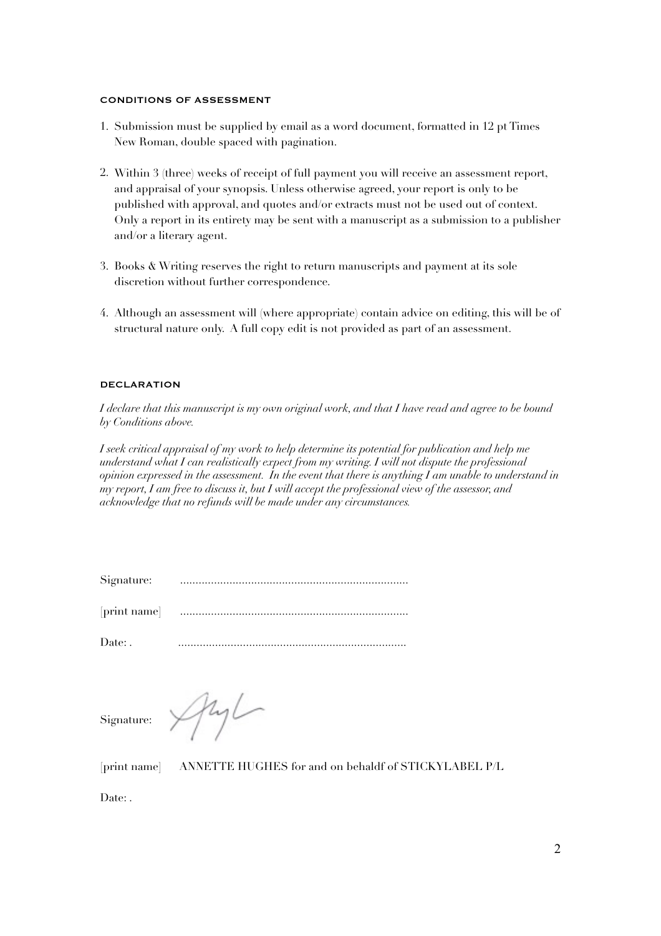#### CONDITIONS OF ASSESSMENT

- 1. Submission must be supplied by email as a word document, formatted in 12 pt Times New Roman, double spaced with pagination.
- 2. Within 3 (three) weeks of receipt of full payment you will receive an assessment report, and appraisal of your synopsis. Unless otherwise agreed, your report is only to be published with approval, and quotes and/or extracts must not be used out of context. Only a report in its entirety may be sent with a manuscript as a submission to a publisher and/or a literary agent.
- 3. Books & Writing reserves the right to return manuscripts and payment at its sole discretion without further correspondence.
- 4. Although an assessment will (where appropriate) contain advice on editing, this will be of structural nature only. A full copy edit is not provided as part of an assessment.

### DECLARATION

*I declare that this manuscript is my own original work, and that I have read and agree to be bound by Conditions above.* 

*I seek critical appraisal of my work to help determine its potential for publication and help me understand what I can realistically expect from my writing. I will not dispute the professional opinion expressed in the assessment. In the event that there is anything I am unable to understand in my report, I am free to discuss it, but I will accept the professional view of the assessor, and acknowledge that no refunds will be made under any circumstances.* 

| Signature: |  |
|------------|--|
|            |  |

[print name] ..........................................................................

Date: . ..........................................................................

Signature:

Ayl

[print name] ANNETTE HUGHES for and on behaldf of STICKYLABEL P/L

Date: .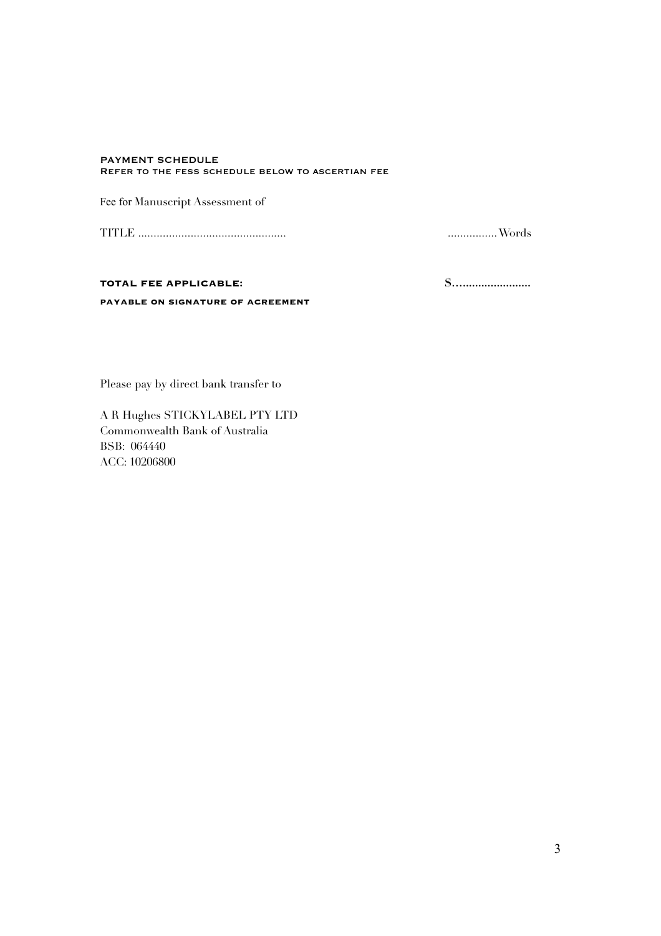#### **PAYMENT SCHEDULE** REFER TO THE FESS SCHEDULE BELOW TO ASCERTIAN FEE

Fee for Manuscript Assessment of

 $............$  Words

### TOTAL FEE APPLICABLE:

PAYABLE ON SIGNATURE OF ACREEMENT

Please pay by direct bank transfer to

A R Hughes STICKYLABEL PTY LTD Commonwealth Bank of Australia BSB: 064440 ACC: 10206800